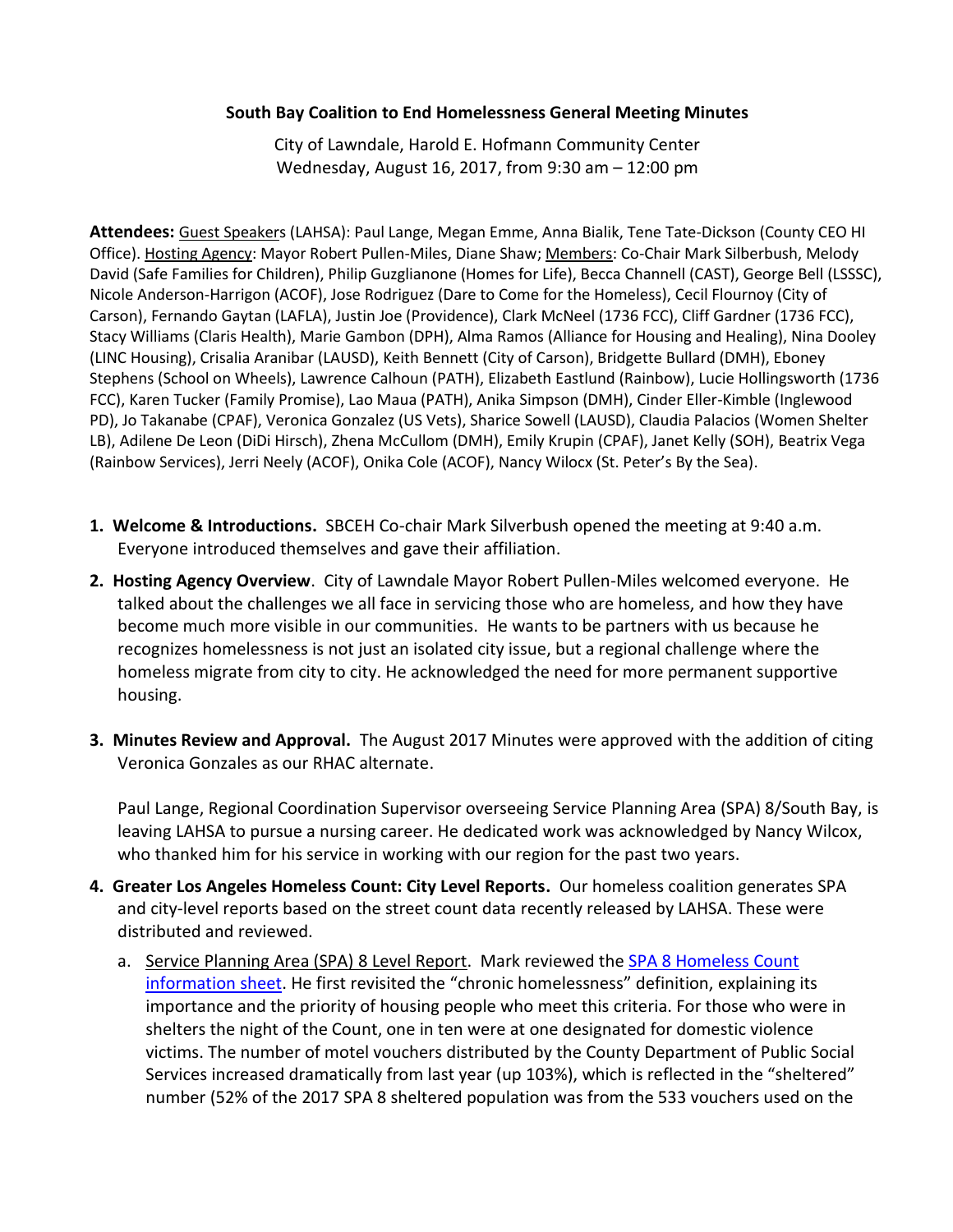## **South Bay Coalition to End Homelessness General Meeting Minutes**

City of Lawndale, Harold E. Hofmann Community Center Wednesday, August 16, 2017, from 9:30 am – 12:00 pm

**Attendees:** Guest Speakers (LAHSA): Paul Lange, Megan Emme, Anna Bialik, Tene Tate-Dickson (County CEO HI Office). Hosting Agency: Mayor Robert Pullen-Miles, Diane Shaw; Members: Co-Chair Mark Silberbush, Melody David (Safe Families for Children), Philip Guzglianone (Homes for Life), Becca Channell (CAST), George Bell (LSSSC), Nicole Anderson-Harrigon (ACOF), Jose Rodriguez (Dare to Come for the Homeless), Cecil Flournoy (City of Carson), Fernando Gaytan (LAFLA), Justin Joe (Providence), Clark McNeel (1736 FCC), Cliff Gardner (1736 FCC), Stacy Williams (Claris Health), Marie Gambon (DPH), Alma Ramos (Alliance for Housing and Healing), Nina Dooley (LINC Housing), Crisalia Aranibar (LAUSD), Keith Bennett (City of Carson), Bridgette Bullard (DMH), Eboney Stephens (School on Wheels), Lawrence Calhoun (PATH), Elizabeth Eastlund (Rainbow), Lucie Hollingsworth (1736 FCC), Karen Tucker (Family Promise), Lao Maua (PATH), Anika Simpson (DMH), Cinder Eller-Kimble (Inglewood PD), Jo Takanabe (CPAF), Veronica Gonzalez (US Vets), Sharice Sowell (LAUSD), Claudia Palacios (Women Shelter LB), Adilene De Leon (DiDi Hirsch), Zhena McCullom (DMH), Emily Krupin (CPAF), Janet Kelly (SOH), Beatrix Vega (Rainbow Services), Jerri Neely (ACOF), Onika Cole (ACOF), Nancy Wilocx (St. Peter's By the Sea).

- **1. Welcome & Introductions.** SBCEH Co-chair Mark Silverbush opened the meeting at 9:40 a.m. Everyone introduced themselves and gave their affiliation.
- **2. Hosting Agency Overview**. City of Lawndale Mayor Robert Pullen-Miles welcomed everyone. He talked about the challenges we all face in servicing those who are homeless, and how they have become much more visible in our communities. He wants to be partners with us because he recognizes homelessness is not just an isolated city issue, but a regional challenge where the homeless migrate from city to city. He acknowledged the need for more permanent supportive housing.
- **3. Minutes Review and Approval.** The August 2017 Minutes were approved with the addition of citing Veronica Gonzales as our RHAC alternate.

Paul Lange, Regional Coordination Supervisor overseeing Service Planning Area (SPA) 8/South Bay, is leaving LAHSA to pursue a nursing career. He dedicated work was acknowledged by Nancy Wilcox, who thanked him for his service in working with our region for the past two years.

- **4. Greater Los Angeles Homeless Count: City Level Reports.** Our homeless coalition generates SPA and city-level reports based on the street count data recently released by LAHSA. These were distributed and reviewed.
	- a. Service Planning Area (SPA) 8 Level Report. Mark reviewed the [SPA 8 Homeless Count](http://www.sbceh.org/uploads/4/5/0/7/45075441/-_hc17_spa_8_master.pdf)  [information sheet.](http://www.sbceh.org/uploads/4/5/0/7/45075441/-_hc17_spa_8_master.pdf) He first revisited the "chronic homelessness" definition, explaining its importance and the priority of housing people who meet this criteria. For those who were in shelters the night of the Count, one in ten were at one designated for domestic violence victims. The number of motel vouchers distributed by the County Department of Public Social Services increased dramatically from last year (up 103%), which is reflected in the "sheltered" number (52% of the 2017 SPA 8 sheltered population was from the 533 vouchers used on the